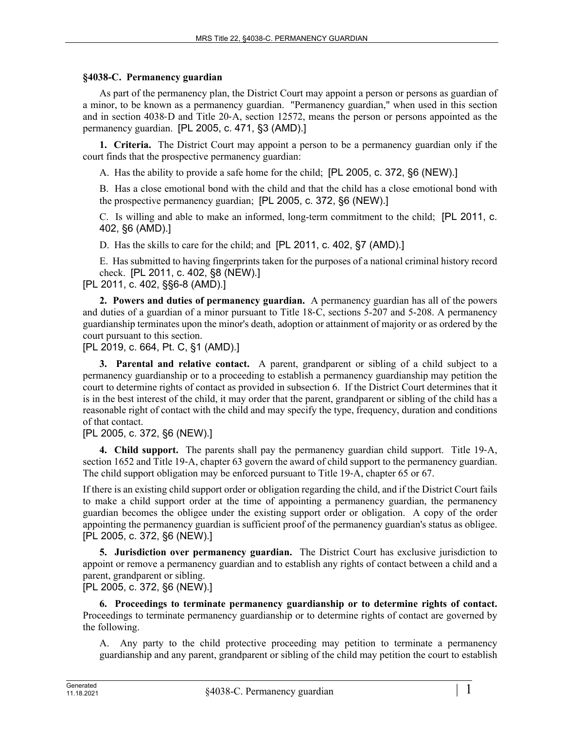## **§4038-C. Permanency guardian**

As part of the permanency plan, the District Court may appoint a person or persons as guardian of a minor, to be known as a permanency guardian. "Permanency guardian," when used in this section and in section 4038‑D and Title 20‑A, section 12572, means the person or persons appointed as the permanency guardian. [PL 2005, c. 471, §3 (AMD).]

**1. Criteria.** The District Court may appoint a person to be a permanency guardian only if the court finds that the prospective permanency guardian:

A. Has the ability to provide a safe home for the child; [PL 2005, c. 372, §6 (NEW).]

B. Has a close emotional bond with the child and that the child has a close emotional bond with the prospective permanency guardian; [PL 2005, c. 372, §6 (NEW).]

C. Is willing and able to make an informed, long-term commitment to the child; [PL 2011, c. 402, §6 (AMD).]

D. Has the skills to care for the child; and [PL 2011, c. 402, §7 (AMD).]

E. Has submitted to having fingerprints taken for the purposes of a national criminal history record check. [PL 2011, c. 402, §8 (NEW).]

[PL 2011, c. 402, §§6-8 (AMD).]

**2. Powers and duties of permanency guardian.** A permanency guardian has all of the powers and duties of a guardian of a minor pursuant to Title 18‑C, sections 5-207 and 5-208. A permanency guardianship terminates upon the minor's death, adoption or attainment of majority or as ordered by the court pursuant to this section.

[PL 2019, c. 664, Pt. C, §1 (AMD).]

**3. Parental and relative contact.** A parent, grandparent or sibling of a child subject to a permanency guardianship or to a proceeding to establish a permanency guardianship may petition the court to determine rights of contact as provided in subsection 6. If the District Court determines that it is in the best interest of the child, it may order that the parent, grandparent or sibling of the child has a reasonable right of contact with the child and may specify the type, frequency, duration and conditions of that contact.

[PL 2005, c. 372, §6 (NEW).]

**4. Child support.** The parents shall pay the permanency guardian child support. Title 19–A, section 1652 and Title 19–A, chapter 63 govern the award of child support to the permanency guardian. The child support obligation may be enforced pursuant to Title 19–A, chapter 65 or 67.

If there is an existing child support order or obligation regarding the child, and if the District Court fails to make a child support order at the time of appointing a permanency guardian, the permanency guardian becomes the obligee under the existing support order or obligation. A copy of the order appointing the permanency guardian is sufficient proof of the permanency guardian's status as obligee. [PL 2005, c. 372, §6 (NEW).]

**5. Jurisdiction over permanency guardian.** The District Court has exclusive jurisdiction to appoint or remove a permanency guardian and to establish any rights of contact between a child and a parent, grandparent or sibling.

[PL 2005, c. 372, §6 (NEW).]

**6. Proceedings to terminate permanency guardianship or to determine rights of contact.**  Proceedings to terminate permanency guardianship or to determine rights of contact are governed by the following.

A. Any party to the child protective proceeding may petition to terminate a permanency guardianship and any parent, grandparent or sibling of the child may petition the court to establish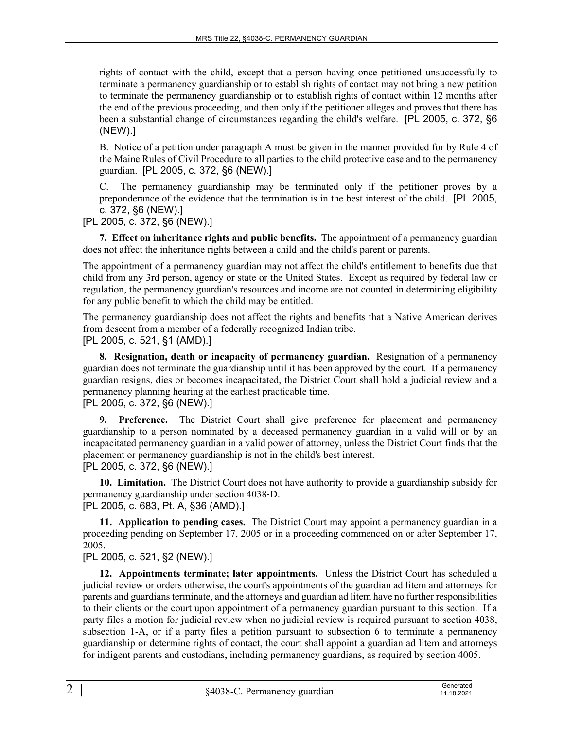rights of contact with the child, except that a person having once petitioned unsuccessfully to terminate a permanency guardianship or to establish rights of contact may not bring a new petition to terminate the permanency guardianship or to establish rights of contact within 12 months after the end of the previous proceeding, and then only if the petitioner alleges and proves that there has been a substantial change of circumstances regarding the child's welfare. [PL 2005, c. 372, §6 (NEW).]

B. Notice of a petition under paragraph A must be given in the manner provided for by Rule 4 of the Maine Rules of Civil Procedure to all parties to the child protective case and to the permanency guardian. [PL 2005, c. 372, §6 (NEW).]

C. The permanency guardianship may be terminated only if the petitioner proves by a preponderance of the evidence that the termination is in the best interest of the child. [PL 2005, c. 372, §6 (NEW).]

[PL 2005, c. 372, §6 (NEW).]

**7. Effect on inheritance rights and public benefits.** The appointment of a permanency guardian does not affect the inheritance rights between a child and the child's parent or parents.

The appointment of a permanency guardian may not affect the child's entitlement to benefits due that child from any 3rd person, agency or state or the United States. Except as required by federal law or regulation, the permanency guardian's resources and income are not counted in determining eligibility for any public benefit to which the child may be entitled.

The permanency guardianship does not affect the rights and benefits that a Native American derives from descent from a member of a federally recognized Indian tribe. [PL 2005, c. 521, §1 (AMD).]

**8. Resignation, death or incapacity of permanency guardian.** Resignation of a permanency guardian does not terminate the guardianship until it has been approved by the court. If a permanency guardian resigns, dies or becomes incapacitated, the District Court shall hold a judicial review and a permanency planning hearing at the earliest practicable time. [PL 2005, c. 372, §6 (NEW).]

**9. Preference.** The District Court shall give preference for placement and permanency guardianship to a person nominated by a deceased permanency guardian in a valid will or by an incapacitated permanency guardian in a valid power of attorney, unless the District Court finds that the placement or permanency guardianship is not in the child's best interest. [PL 2005, c. 372, §6 (NEW).]

**10. Limitation.** The District Court does not have authority to provide a guardianship subsidy for permanency guardianship under section 4038‑D.

[PL 2005, c. 683, Pt. A, §36 (AMD).]

**11. Application to pending cases.** The District Court may appoint a permanency guardian in a proceeding pending on September 17, 2005 or in a proceeding commenced on or after September 17, 2005.

[PL 2005, c. 521, §2 (NEW).]

**12. Appointments terminate; later appointments.** Unless the District Court has scheduled a judicial review or orders otherwise, the court's appointments of the guardian ad litem and attorneys for parents and guardians terminate, and the attorneys and guardian ad litem have no further responsibilities to their clients or the court upon appointment of a permanency guardian pursuant to this section. If a party files a motion for judicial review when no judicial review is required pursuant to section 4038, subsection 1-A, or if a party files a petition pursuant to subsection 6 to terminate a permanency guardianship or determine rights of contact, the court shall appoint a guardian ad litem and attorneys for indigent parents and custodians, including permanency guardians, as required by section 4005.